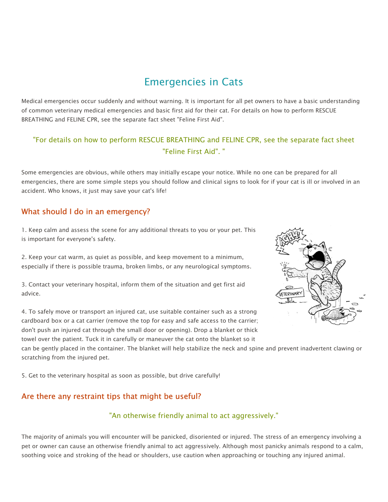# Emergencies in Cats

Medical emergencies occur suddenly and without warning. It is important for all pet owners to have a basic understanding of common veterinary medical emergencies and basic first aid for their cat. For details on how to perform RESCUE BREATHING and FELINE CPR, see the separate fact sheet "Feline First Aid".

#### "For details on how to perform RESCUE BREATHING and FELINE CPR, see the separate fact sheet "Feline First Aid". "

Some emergencies are obvious, while others may initially escape your notice. While no one can be prepared for all emergencies, there are some simple steps you should follow and clinical signs to look for if your cat is ill or involved in an accident. Who knows, it just may save your cat's life!

#### What should I do in an emergency?

1. Keep calm and assess the scene for any additional threats to you or your pet. This is important for everyone's safety.

2. Keep your cat warm, as quiet as possible, and keep movement to a minimum, especially if there is possible trauma, broken limbs, or any neurological symptoms.

3. Contact your veterinary hospital, inform them of the situation and get first aid advice.

4. To safely move or transport an injured cat, use suitable container such as a strong cardboard box or a cat carrier (remove the top for easy and safe access to the carrier; don't push an injured cat through the small door or opening). Drop a blanket or thick towel over the patient. Tuck it in carefully or maneuver the cat onto the blanket so it



can be gently placed in the container. The blanket will help stabilize the neck and spine and prevent inadvertent clawing or scratching from the injured pet.

5. Get to the veterinary hospital as soon as possible, but drive carefully!

### Are there any restraint tips that might be useful?

#### "An otherwise friendly animal to act aggressively."

The majority of animals you will encounter will be panicked, disoriented or injured. The stress of an emergency involving a pet or owner can cause an otherwise friendly animal to act aggressively. Although most panicky animals respond to a calm, soothing voice and stroking of the head or shoulders, use caution when approaching or touching any injured animal.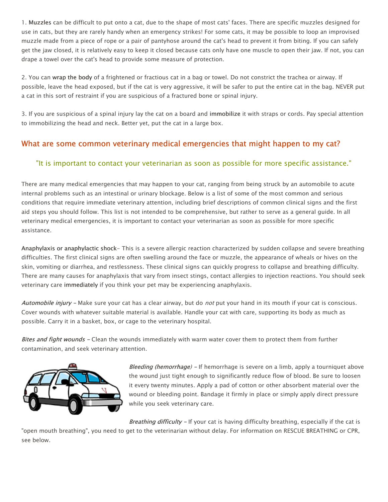1. Muzzles can be difficult to put onto a cat, due to the shape of most cats' faces. There are specific muzzles designed for use in cats, but they are rarely handy when an emergency strikes! For some cats, it may be possible to loop an improvised muzzle made from a piece of rope or a pair of pantyhose around the cat's head to prevent it from biting. If you can safely get the jaw closed, it is relatively easy to keep it closed because cats only have one muscle to open their jaw. If not, you can drape a towel over the cat's head to provide some measure of protection.

2. You can wrap the body of a frightened or fractious cat in a bag or towel. Do not constrict the trachea or airway. If possible, leave the head exposed, but if the cat is very aggressive, it will be safer to put the entire cat in the bag. NEVER put a cat in this sort of restraint if you are suspicious of a fractured bone or spinal injury.

3. If you are suspicious of a spinal injury lay the cat on a board and immobilize it with straps or cords. Pay special attention to immobilizing the head and neck. Better yet, put the cat in a large box.

### What are some common veterinary medical emergencies that might happen to my cat?

#### "It is important to contact your veterinarian as soon as possible for more specific assistance."

There are many medical emergencies that may happen to your cat, ranging from being struck by an automobile to acute internal problems such as an intestinal or urinary blockage. Below is a list of some of the most common and serious conditions that require immediate veterinary attention, including brief descriptions of common clinical signs and the first aid steps you should follow. This list is not intended to be comprehensive, but rather to serve as a general guide. In all veterinary medical emergencies, it is important to contact your veterinarian as soon as possible for more specific assistance.

Anaphylaxis or anaphylactic shock- This is a severe allergic reaction characterized by sudden collapse and severe breathing difficulties. The first clinical signs are often swelling around the face or muzzle, the appearance of wheals or hives on the skin, vomiting or diarrhea, and restlessness. These clinical signs can quickly progress to collapse and breathing difficulty. There are many causes for anaphylaxis that vary from insect stings, contact allergies to injection reactions. You should seek veterinary care immediately if you think your pet may be experiencing anaphylaxis.

Automobile injury - Make sure your cat has a clear airway, but do not put your hand in its mouth if your cat is conscious. Cover wounds with whatever suitable material is available. Handle your cat with care, supporting its body as much as possible. Carry it in a basket, box, or cage to the veterinary hospital.

Bites and fight wounds - Clean the wounds immediately with warm water cover them to protect them from further contamination, and seek veterinary attention.



Bleeding (hemorrhage) - If hemorrhage is severe on a limb, apply a tourniquet above the wound just tight enough to significantly reduce flow of blood. Be sure to loosen it every twenty minutes. Apply a pad of cotton or other absorbent material over the wound or bleeding point. Bandage it firmly in place or simply apply direct pressure while you seek veterinary care.

Breathing difficulty - If your cat is having difficulty breathing, especially if the cat is

"open mouth breathing", you need to get to the veterinarian without delay. For information on RESCUE BREATHING or CPR, see below.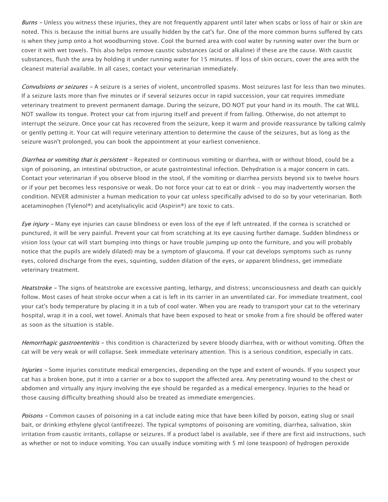Burns - Unless you witness these injuries, they are not frequently apparent until later when scabs or loss of hair or skin are noted. This is because the initial burns are usually hidden by the cat's fur. One of the more common burns suffered by cats is when they jump onto a hot woodburning stove. Cool the burned area with cool water by running water over the burn or cover it with wet towels. This also helps remove caustic substances (acid or alkaline) if these are the cause. With caustic substances, flush the area by holding it under running water for 15 minutes. If loss of skin occurs, cover the area with the cleanest material available. In all cases, contact your veterinarian immediately.

Convulsions or seizures - A seizure is a series of violent, uncontrolled spasms. Most seizures last for less than two minutes. If a seizure lasts more than five minutes or if several seizures occur in rapid succession, your cat requires immediate veterinary treatment to prevent permanent damage. During the seizure, DO NOT put your hand in its mouth. The cat WILL NOT swallow its tongue. Protect your cat from injuring itself and prevent if from falling. Otherwise, do not attempt to interrupt the seizure. Once your cat has recovered from the seizure, keep it warm and provide reassurance by talking calmly or gently petting it. Your cat will require veterinary attention to determine the cause of the seizures, but as long as the seizure wasn't prolonged, you can book the appointment at your earliest convenience.

Diarrhea or vomiting that is persistent - Repeated or continuous vomiting or diarrhea, with or without blood, could be a sign of poisoning, an intestinal obstruction, or acute gastrointestinal infection. Dehydration is a major concern in cats. Contact your veterinarian if you observe blood in the stool, if the vomiting or diarrhea persists beyond six to twelve hours or if your pet becomes less responsive or weak. Do not force your cat to eat or drink - you may inadvertently worsen the condition. NEVER administer a human medication to your cat unless specifically advised to do so by your veterinarian. Both acetaminophen (Tylenol®) and acetylsalicylic acid (Aspirin®) are toxic to cats.

Eye injury – Many eye injuries can cause blindness or even loss of the eye if left untreated. If the cornea is scratched or punctured, it will be very painful. Prevent your cat from scratching at its eye causing further damage. Sudden blindness or vision loss (your cat will start bumping into things or have trouble jumping up onto the furniture, and you will probably notice that the pupils are widely dilated) may be a symptom of glaucoma. If your cat develops symptoms such as runny eyes, colored discharge from the eyes, squinting, sudden dilation of the eyes, or apparent blindness, get immediate veterinary treatment.

Heatstroke - The signs of heatstroke are excessive panting, lethargy, and distress; unconsciousness and death can quickly follow. Most cases of heat stroke occur when a cat is left in its carrier in an unventilated car. For immediate treatment, cool your cat's body temperature by placing it in a tub of cool water. When you are ready to transport your cat to the veterinary hospital, wrap it in a cool, wet towel. Animals that have been exposed to heat or smoke from a fire should be offered water as soon as the situation is stable.

Hemorrhagic gastroenteritis - this condition is characterized by severe bloody diarrhea, with or without vomiting. Often the cat will be very weak or will collapse. Seek immediate veterinary attention. This is a serious condition, especially in cats.

Injuries - Some injuries constitute medical emergencies, depending on the type and extent of wounds. If you suspect your cat has a broken bone, put it into a carrier or a box to support the affected area. Any penetrating wound to the chest or abdomen and virtually any injury involving the eye should be regarded as a medical emergency. Injuries to the head or those causing difficulty breathing should also be treated as immediate emergencies.

Poisons - Common causes of poisoning in a cat include eating mice that have been killed by poison, eating slug or snail bait, or drinking ethylene glycol (antifreeze). The typical symptoms of poisoning are vomiting, diarrhea, salivation, skin irritation from caustic irritants, collapse or seizures. If a product label is available, see if there are first aid instructions, such as whether or not to induce vomiting. You can usually induce vomiting with 5 ml (one teaspoon) of hydrogen peroxide